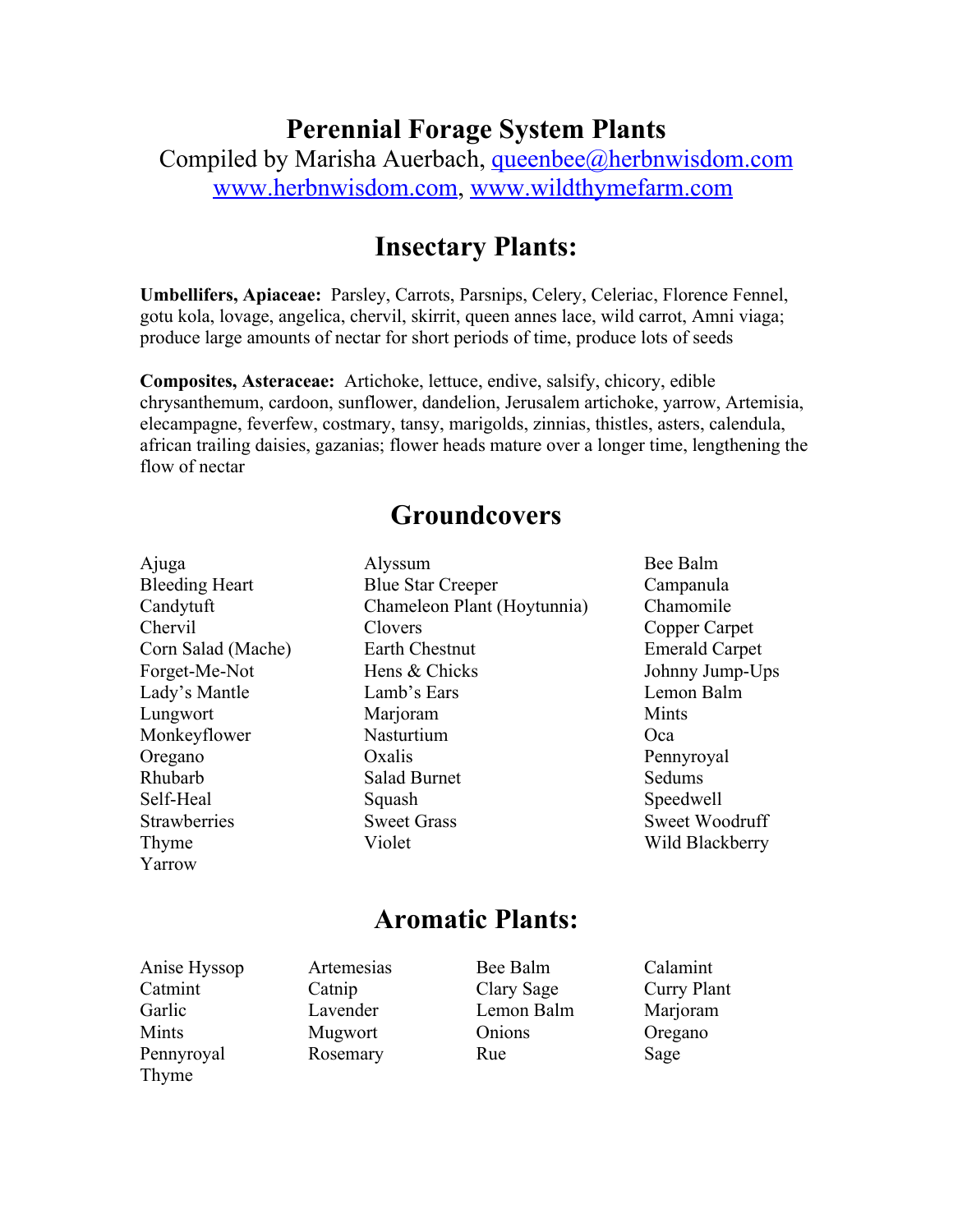### **Perennial Forage System Plants**

Compiled by Marisha Auerbach, [queenbee@herbnwisdom.com](mailto:queenbee@herbnwisdom.com) [www.herbnwisdom.com](http://www.herbnwisdom.com/), [www.wildthymefarm.com](http://www.wildthymefarm.com/)

#### **Insectary Plants:**

**Umbellifers, Apiaceae:** Parsley, Carrots, Parsnips, Celery, Celeriac, Florence Fennel, gotu kola, lovage, angelica, chervil, skirrit, queen annes lace, wild carrot, Amni viaga; produce large amounts of nectar for short periods of time, produce lots of seeds

**Composites, Asteraceae:** Artichoke, lettuce, endive, salsify, chicory, edible chrysanthemum, cardoon, sunflower, dandelion, Jerusalem artichoke, yarrow, Artemisia, elecampagne, feverfew, costmary, tansy, marigolds, zinnias, thistles, asters, calendula, african trailing daisies, gazanias; flower heads mature over a longer time, lengthening the flow of nectar

#### **Groundcovers**

Yarrow

Ajuga Alyssum Bee Balm Bleeding Heart Blue Star Creeper Campanula Candytuft Chameleon Plant (Hoytunnia) Chamomile Chervil Clovers Copper Carpet Corn Salad (Mache) Earth Chestnut Emerald Carpet Forget-Me-Not Hens & Chicks Johnny Jump-Ups Lady's Mantle Lamb's Ears Lemon Balm Lungwort Marioram Marioram Mints Monkeyflower Nasturtium Oca Oregano Oxalis Pennyroyal Rhubarb Salad Burnet Sedums Self-Heal Squash Squash Speedwell Strawberries Sweet Grass Sweet Woodruff Thyme Violet Wild Blackberry

#### **Aromatic Plants:**

Anise Hyssop Artemesias Bee Balm Calamint Catmint Catnip Clary Sage Curry Plant Garlic Lavender Lemon Balm Marjoram Mints Mugwort Onions Oregano Pennyroyal Rosemary Rue Sage Thyme